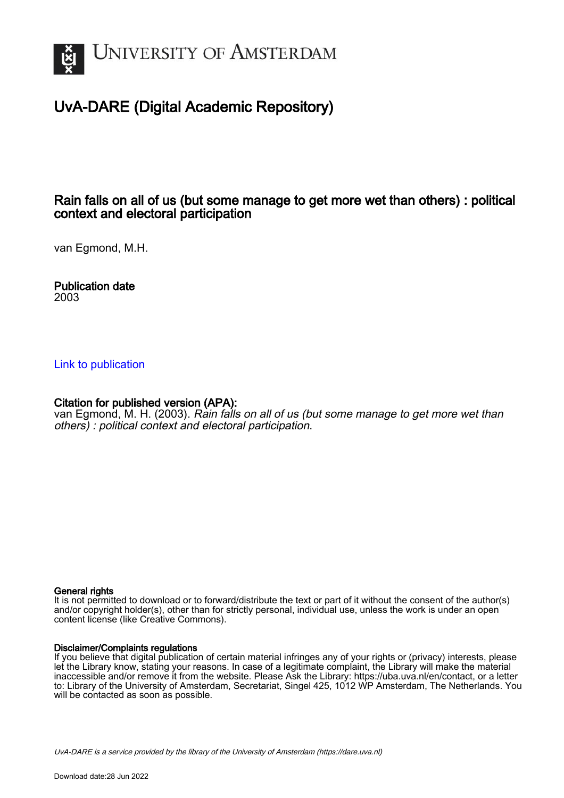

# UvA-DARE (Digital Academic Repository)

# Rain falls on all of us (but some manage to get more wet than others) : political context and electoral participation

van Egmond, M.H.

Publication date 2003

### [Link to publication](https://dare.uva.nl/personal/pure/en/publications/rain-falls-on-all-of-us-but-some-manage-to-get-more-wet-than-others--political-context-and-electoral-participation(6e492264-58a4-4ead-b1e0-b730c17ab350).html)

## Citation for published version (APA):

van Egmond, M. H. (2003). Rain falls on all of us (but some manage to get more wet than others) : political context and electoral participation.

#### General rights

It is not permitted to download or to forward/distribute the text or part of it without the consent of the author(s) and/or copyright holder(s), other than for strictly personal, individual use, unless the work is under an open content license (like Creative Commons).

#### Disclaimer/Complaints regulations

If you believe that digital publication of certain material infringes any of your rights or (privacy) interests, please let the Library know, stating your reasons. In case of a legitimate complaint, the Library will make the material inaccessible and/or remove it from the website. Please Ask the Library: https://uba.uva.nl/en/contact, or a letter to: Library of the University of Amsterdam, Secretariat, Singel 425, 1012 WP Amsterdam, The Netherlands. You will be contacted as soon as possible.